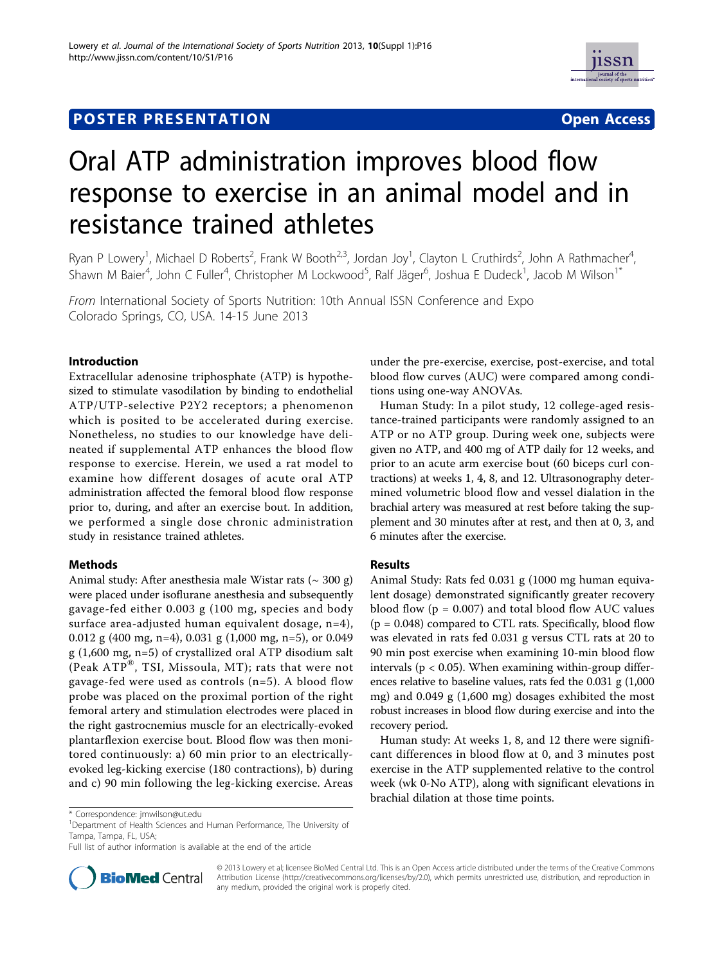# **POSTER PRESENTATION CONSUMING THE SERVICE SERVICE SERVICES**



# Oral ATP administration improves blood flow response to exercise in an animal model and in resistance trained athletes

Ryan P Lowery<sup>1</sup>, Michael D Roberts<sup>2</sup>, Frank W Booth<sup>2,3</sup>, Jordan Joy<sup>1</sup>, Clayton L Cruthirds<sup>2</sup>, John A Rathmacher<sup>4</sup> , Shawn M Baier<sup>4</sup>, John C Fuller<sup>4</sup>, Christopher M Lockwood<sup>5</sup>, Ralf Jäger<sup>6</sup>, Joshua E Dudeck<sup>1</sup>, Jacob M Wilson<sup>1\*</sup>

From International Society of Sports Nutrition: 10th Annual ISSN Conference and Expo Colorado Springs, CO, USA. 14-15 June 2013

## Introduction

Extracellular adenosine triphosphate (ATP) is hypothesized to stimulate vasodilation by binding to endothelial ATP/UTP-selective P2Y2 receptors; a phenomenon which is posited to be accelerated during exercise. Nonetheless, no studies to our knowledge have delineated if supplemental ATP enhances the blood flow response to exercise. Herein, we used a rat model to examine how different dosages of acute oral ATP administration affected the femoral blood flow response prior to, during, and after an exercise bout. In addition, we performed a single dose chronic administration study in resistance trained athletes.

#### Methods

Animal study: After anesthesia male Wistar rats  $({\sim} 300 \text{ g})$ were placed under isoflurane anesthesia and subsequently gavage-fed either 0.003 g (100 mg, species and body surface area-adjusted human equivalent dosage, n=4), 0.012 g (400 mg, n=4), 0.031 g (1,000 mg, n=5), or 0.049 g (1,600 mg, n=5) of crystallized oral ATP disodium salt (Peak  $ATP^{\otimes}$ , TSI, Missoula, MT); rats that were not gavage-fed were used as controls (n=5). A blood flow probe was placed on the proximal portion of the right femoral artery and stimulation electrodes were placed in the right gastrocnemius muscle for an electrically-evoked plantarflexion exercise bout. Blood flow was then monitored continuously: a) 60 min prior to an electricallyevoked leg-kicking exercise (180 contractions), b) during and c) 90 min following the leg-kicking exercise. Areas

Full list of author information is available at the end of the article



© 2013 Lowery et al; licensee BioMed Central Ltd. This is an Open Access article distributed under the terms of the Creative Commons Attribution License [\(http://creativecommons.org/licenses/by/2.0](http://creativecommons.org/licenses/by/2.0)), which permits unrestricted use, distribution, and reproduction in any medium, provided the original work is properly cited.

under the pre-exercise, exercise, post-exercise, and total blood flow curves (AUC) were compared among conditions using one-way ANOVAs.

Human Study: In a pilot study, 12 college-aged resistance-trained participants were randomly assigned to an ATP or no ATP group. During week one, subjects were given no ATP, and 400 mg of ATP daily for 12 weeks, and prior to an acute arm exercise bout (60 biceps curl contractions) at weeks 1, 4, 8, and 12. Ultrasonography determined volumetric blood flow and vessel dialation in the brachial artery was measured at rest before taking the supplement and 30 minutes after at rest, and then at 0, 3, and 6 minutes after the exercise.

#### Results

Animal Study: Rats fed 0.031 g (1000 mg human equivalent dosage) demonstrated significantly greater recovery blood flow ( $p = 0.007$ ) and total blood flow AUC values  $(p = 0.048)$  compared to CTL rats. Specifically, blood flow was elevated in rats fed 0.031 g versus CTL rats at 20 to 90 min post exercise when examining 10-min blood flow intervals ( $p < 0.05$ ). When examining within-group differences relative to baseline values, rats fed the 0.031 g (1,000 mg) and 0.049 g (1,600 mg) dosages exhibited the most robust increases in blood flow during exercise and into the recovery period.

Human study: At weeks 1, 8, and 12 there were significant differences in blood flow at 0, and 3 minutes post exercise in the ATP supplemented relative to the control week (wk 0-No ATP), along with significant elevations in brachial dilation at those time points.

<sup>\*</sup> Correspondence: [jmwilson@ut.edu](mailto:jmwilson@ut.edu)

<sup>&</sup>lt;sup>1</sup>Department of Health Sciences and Human Performance, The University of Tampa, Tampa, FL, USA;